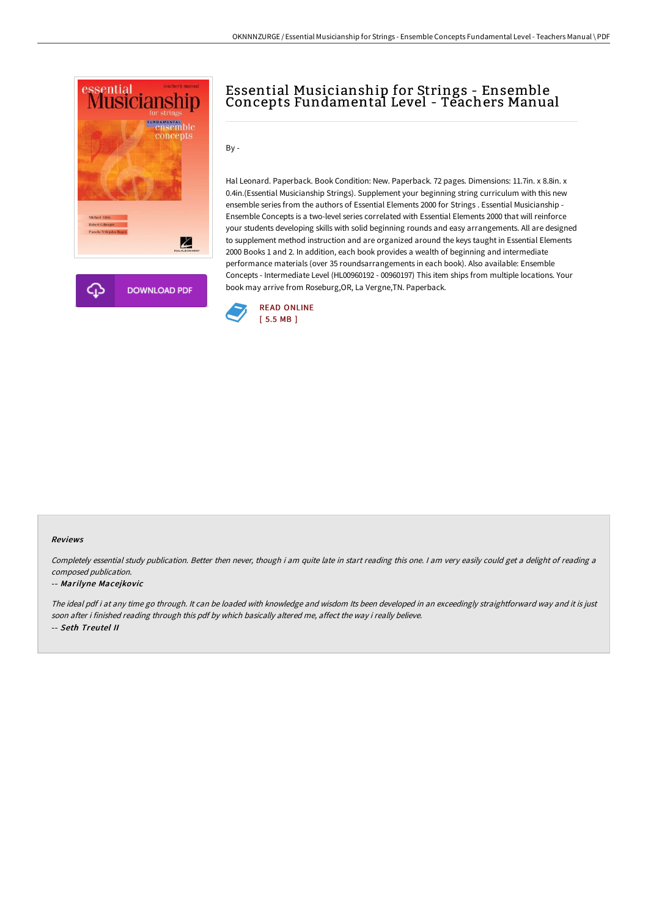

# Essential Musicianship for Strings - Ensemble Concepts Fundamental Level - Teachers Manual

By -

Hal Leonard. Paperback. Book Condition: New. Paperback. 72 pages. Dimensions: 11.7in. x 8.8in. x 0.4in.(Essential Musicianship Strings). Supplement your beginning string curriculum with this new ensemble series from the authors of Essential Elements 2000 for Strings . Essential Musicianship - Ensemble Concepts is a two-level series correlated with Essential Elements 2000 that will reinforce your students developing skills with solid beginning rounds and easy arrangements. All are designed to supplement method instruction and are organized around the keys taught in Essential Elements 2000 Books 1 and 2. In addition, each book provides a wealth of beginning and intermediate performance materials (over 35 roundsarrangements in each book). Also available: Ensemble Concepts - Intermediate Level (HL00960192 - 00960197) This item ships from multiple locations. Your book may arrive from Roseburg,OR, La Vergne,TN. Paperback.



#### Reviews

Completely essential study publication. Better then never, though i am quite late in start reading this one. <sup>I</sup> am very easily could get <sup>a</sup> delight of reading <sup>a</sup> composed publication.

#### -- Marilyne Macejkovic

The ideal pdf i at any time go through. It can be loaded with knowledge and wisdom Its been developed in an exceedingly straightforward way and it is just soon after i finished reading through this pdf by which basically altered me, affect the way i really believe. -- Seth Treutel II